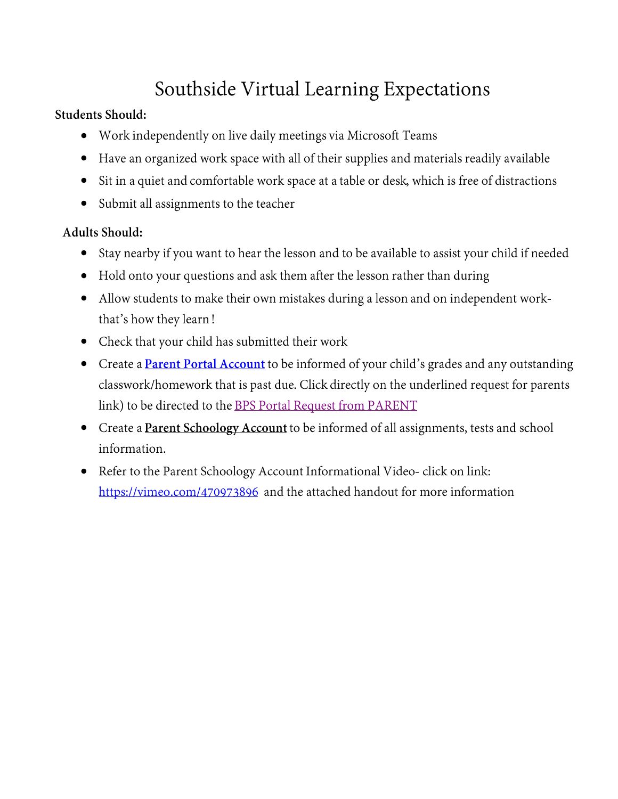# Southside Virtual Learning Expectations

## **Students Should:**

- Work independently on live daily meetings via Microsoft Teams  $\bullet$
- Have an organized work space with all of their supplies and materials readily available  $\bullet$
- Sit in a quiet and comfortable work space at a table or desk, which is free of distractions  $\bullet$
- Submit all assignments to the teacher  $\bullet$

# **Adults Should:**

- Stay nearby if you want to hear the lesson and to be available to assist your child if needed  $\bullet$
- Hold onto your questions and ask them after the lesson rather than during  $\bullet$
- Allow students to make their own mistakes during a lesson and on independent work- $\bullet$ that's how they learn!
- Check that your child has submitted their work  $\bullet$
- Create a **Parent Portal Account** to be informed of your child's grades and any outstanding classwork/homework that is past due. Click directly on the underlined request for parents link) to be directed to the BPS Portal Request from PARENT
- Create a Parent Schoology Account to be informed of all assignments, tests and school  $\bullet$ information.
- Refer to the Parent Schoology Account Informational Video-click on link: https://vimeo.com/470973896 and the attached handout for more information